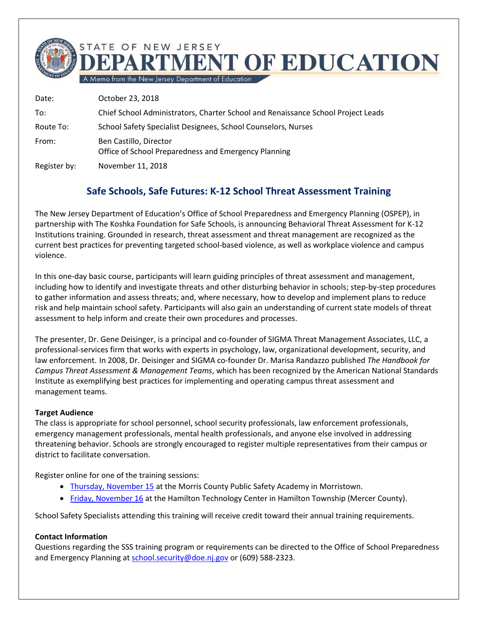**IMENT OF EDUCATION** 

A Memo from the New Jersey Department of Education Date: October 23, 2018 To: Chief School Administrators, Charter School and Renaissance School Project Leads Route To: School Safety Specialist Designees, School Counselors, Nurses

From: Ben Castillo, Director Office of School Preparedness and Emergency Planning

STATE OF NEW JERSEY

Register by: November 11, 2018

## **Safe Schools, Safe Futures: K-12 School Threat Assessment Training**

The New Jersey Department of Education's Office of School Preparedness and Emergency Planning (OSPEP), in partnership with The Koshka Foundation for Safe Schools, is announcing Behavioral Threat Assessment for K-12 Institutions training. Grounded in research, threat assessment and threat management are recognized as the current best practices for preventing targeted school-based violence, as well as workplace violence and campus violence.

In this one-day basic course, participants will learn guiding principles of threat assessment and management, including how to identify and investigate threats and other disturbing behavior in schools; step-by-step procedures to gather information and assess threats; and, where necessary, how to develop and implement plans to reduce risk and help maintain school safety. Participants will also gain an understanding of current state models of threat assessment to help inform and create their own procedures and processes.

The presenter, Dr. Gene Deisinger, is a principal and co-founder of SIGMA Threat Management Associates, LLC, a professional-services firm that works with experts in psychology, law, organizational development, security, and law enforcement. In 2008, Dr. Deisinger and SIGMA co-founder Dr. Marisa Randazzo published *The Handbook for Campus Threat Assessment & Management Teams*, which has been recognized by the American National Standards Institute as exemplifying best practices for implementing and operating campus threat assessment and management teams.

## **Target Audience**

The class is appropriate for school personnel, school security professionals, law enforcement professionals, emergency management professionals, mental health professionals, and anyone else involved in addressing threatening behavior. Schools are strongly encouraged to register multiple representatives from their campus or district to facilitate conversation.

Register online for one of the training sessions:

- [Thursday, November 15](https://homeroom5.doe.state.nj.us/events/details.php?t=1;recid=32999) at the Morris County Public Safety Academy in Morristown.
- Friday, [November 16](https://homeroom5.doe.state.nj.us/events/details.php?t=1;recid=33000) at the Hamilton Technology Center in Hamilton Township (Mercer County).

School Safety Specialists attending this training will receive credit toward their annual training requirements.

## **Contact Information**

Questions regarding the SSS training program or requirements can be directed to the Office of School Preparedness and Emergency Planning at [school.security@doe.nj.gov](mailto:school.security@doe.nj.gov) or (609) 588-2323.